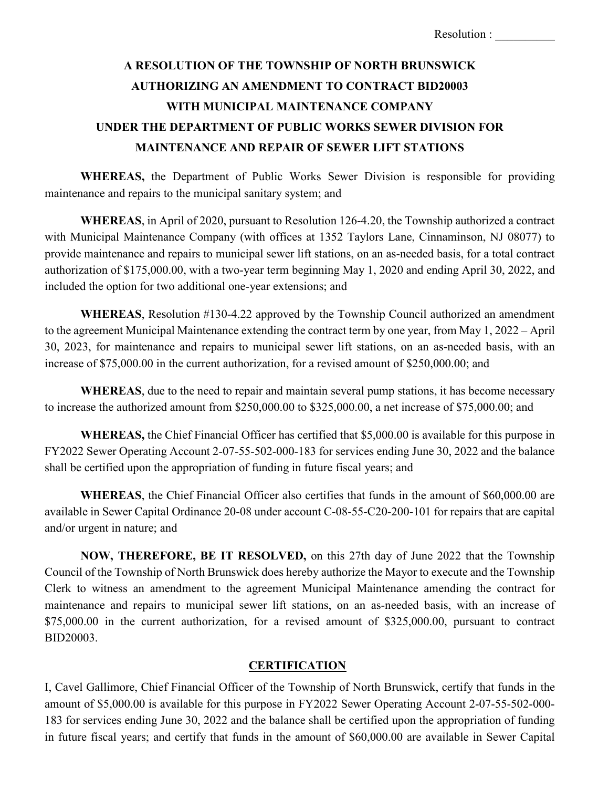## **A RESOLUTION OF THE TOWNSHIP OF NORTH BRUNSWICK AUTHORIZING AN AMENDMENT TO CONTRACT BID20003 WITH MUNICIPAL MAINTENANCE COMPANY UNDER THE DEPARTMENT OF PUBLIC WORKS SEWER DIVISION FOR MAINTENANCE AND REPAIR OF SEWER LIFT STATIONS**

**WHEREAS,** the Department of Public Works Sewer Division is responsible for providing maintenance and repairs to the municipal sanitary system; and

**WHEREAS**, in April of 2020, pursuant to Resolution 126-4.20, the Township authorized a contract with Municipal Maintenance Company (with offices at 1352 Taylors Lane, Cinnaminson, NJ 08077) to provide maintenance and repairs to municipal sewer lift stations, on an as-needed basis, for a total contract authorization of \$175,000.00, with a two-year term beginning May 1, 2020 and ending April 30, 2022, and included the option for two additional one-year extensions; and

**WHEREAS**, Resolution #130-4.22 approved by the Township Council authorized an amendment to the agreement Municipal Maintenance extending the contract term by one year, from May 1, 2022 – April 30, 2023, for maintenance and repairs to municipal sewer lift stations, on an as-needed basis, with an increase of \$75,000.00 in the current authorization, for a revised amount of \$250,000.00; and

**WHEREAS**, due to the need to repair and maintain several pump stations, it has become necessary to increase the authorized amount from \$250,000.00 to \$325,000.00, a net increase of \$75,000.00; and

**WHEREAS,** the Chief Financial Officer has certified that \$5,000.00 is available for this purpose in FY2022 Sewer Operating Account 2-07-55-502-000-183 for services ending June 30, 2022 and the balance shall be certified upon the appropriation of funding in future fiscal years; and

**WHEREAS**, the Chief Financial Officer also certifies that funds in the amount of \$60,000.00 are available in Sewer Capital Ordinance 20-08 under account C-08-55-C20-200-101 for repairs that are capital and/or urgent in nature; and

**NOW, THEREFORE, BE IT RESOLVED,** on this 27th day of June 2022 that the Township Council of the Township of North Brunswick does hereby authorize the Mayor to execute and the Township Clerk to witness an amendment to the agreement Municipal Maintenance amending the contract for maintenance and repairs to municipal sewer lift stations, on an as-needed basis, with an increase of \$75,000.00 in the current authorization, for a revised amount of \$325,000.00, pursuant to contract BID20003.

## **CERTIFICATION**

I, Cavel Gallimore, Chief Financial Officer of the Township of North Brunswick, certify that funds in the amount of \$5,000.00 is available for this purpose in FY2022 Sewer Operating Account 2-07-55-502-000- 183 for services ending June 30, 2022 and the balance shall be certified upon the appropriation of funding in future fiscal years; and certify that funds in the amount of \$60,000.00 are available in Sewer Capital